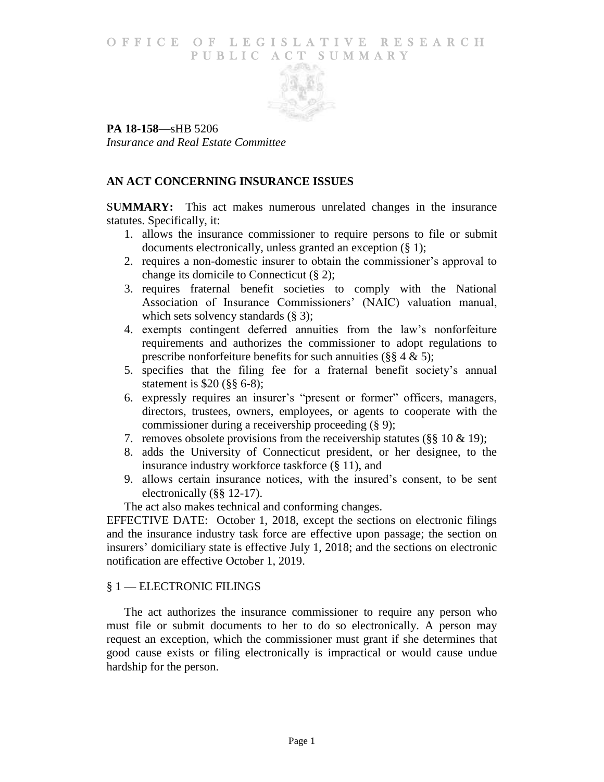## O F FICE OF LEGISLATIVE RESEARCH PUBLIC ACT SUMMARY



**PA 18-158**—sHB 5206 *Insurance and Real Estate Committee*

# **AN ACT CONCERNING INSURANCE ISSUES**

S**UMMARY:** This act makes numerous unrelated changes in the insurance statutes. Specifically, it:

- 1. allows the insurance commissioner to require persons to file or submit documents electronically, unless granted an exception (§ 1);
- 2. requires a non-domestic insurer to obtain the commissioner's approval to change its domicile to Connecticut (§ 2);
- 3. requires fraternal benefit societies to comply with the National Association of Insurance Commissioners' (NAIC) valuation manual, which sets solvency standards  $(\S$  3);
- 4. exempts contingent deferred annuities from the law's nonforfeiture requirements and authorizes the commissioner to adopt regulations to prescribe nonforfeiture benefits for such annuities ( $\S$ § 4 & 5);
- 5. specifies that the filing fee for a fraternal benefit society's annual statement is \$20 (§§ 6-8);
- 6. expressly requires an insurer's "present or former" officers, managers, directors, trustees, owners, employees, or agents to cooperate with the commissioner during a receivership proceeding (§ 9);
- 7. removes obsolete provisions from the receivership statutes ( $\S$ § 10 & 19);
- 8. adds the University of Connecticut president, or her designee, to the insurance industry workforce taskforce (§ 11), and
- 9. allows certain insurance notices, with the insured's consent, to be sent electronically (§§ 12-17).

The act also makes technical and conforming changes.

EFFECTIVE DATE: October 1, 2018, except the sections on electronic filings and the insurance industry task force are effective upon passage; the section on insurers' domiciliary state is effective July 1, 2018; and the sections on electronic notification are effective October 1, 2019.

## § 1 — ELECTRONIC FILINGS

The act authorizes the insurance commissioner to require any person who must file or submit documents to her to do so electronically. A person may request an exception, which the commissioner must grant if she determines that good cause exists or filing electronically is impractical or would cause undue hardship for the person.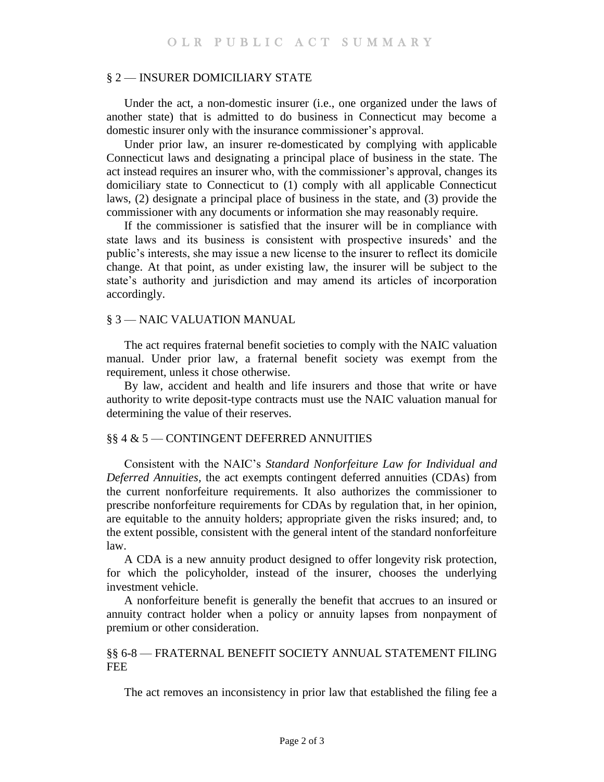#### § 2 — INSURER DOMICILIARY STATE

Under the act, a non-domestic insurer (i.e., one organized under the laws of another state) that is admitted to do business in Connecticut may become a domestic insurer only with the insurance commissioner's approval.

Under prior law, an insurer re-domesticated by complying with applicable Connecticut laws and designating a principal place of business in the state. The act instead requires an insurer who, with the commissioner's approval, changes its domiciliary state to Connecticut to (1) comply with all applicable Connecticut laws, (2) designate a principal place of business in the state, and (3) provide the commissioner with any documents or information she may reasonably require.

If the commissioner is satisfied that the insurer will be in compliance with state laws and its business is consistent with prospective insureds' and the public's interests, she may issue a new license to the insurer to reflect its domicile change. At that point, as under existing law, the insurer will be subject to the state's authority and jurisdiction and may amend its articles of incorporation accordingly.

### § 3 — NAIC VALUATION MANUAL

The act requires fraternal benefit societies to comply with the NAIC valuation manual. Under prior law, a fraternal benefit society was exempt from the requirement, unless it chose otherwise.

By law, accident and health and life insurers and those that write or have authority to write deposit-type contracts must use the NAIC valuation manual for determining the value of their reserves.

#### §§ 4 & 5 — CONTINGENT DEFERRED ANNUITIES

Consistent with the NAIC's *Standard Nonforfeiture Law for Individual and Deferred Annuities,* the act exempts contingent deferred annuities (CDAs) from the current nonforfeiture requirements. It also authorizes the commissioner to prescribe nonforfeiture requirements for CDAs by regulation that, in her opinion, are equitable to the annuity holders; appropriate given the risks insured; and, to the extent possible, consistent with the general intent of the standard nonforfeiture law.

A CDA is a new annuity product designed to offer longevity risk protection, for which the policyholder, instead of the insurer, chooses the underlying investment vehicle.

A nonforfeiture benefit is generally the benefit that accrues to an insured or annuity contract holder when a policy or annuity lapses from nonpayment of premium or other consideration.

### §§ 6-8 — FRATERNAL BENEFIT SOCIETY ANNUAL STATEMENT FILING FEE

The act removes an inconsistency in prior law that established the filing fee a